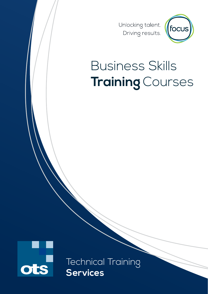Unlocking talent. Driving results.



# Business Skills **Training** Courses



Technical Training **Services**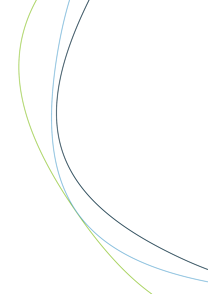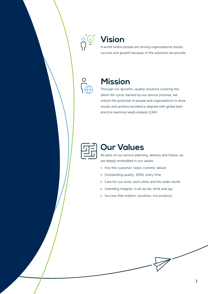

# **Vision**

A world where people are driving organisational results, success and growth because of the solutions we provide.



# **Mission**

Through our dynamic, quality solutions covering the talent life-cycle, backed by our service promise, we unlock the potential of people and organisations to drive results and achieve excellence aligned with global best practice learning needs analysis (LNA).



# **Our Values**

All parts of our service planning, delivery and follow-up are deeply embedded in our values:

- First the customer: listen, commit, deliver
- Outstanding quality: 100%, every time
- Care for our work, each other and the wider world
- Unending integrity: in all we do, think and say
- Success that matters: solutions, not products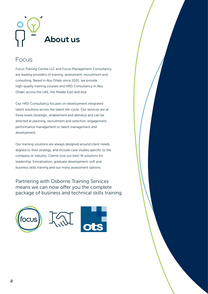

# Focus

Focus Training Centre LLC and Focus Management Consultancy are leading providers of training, assessment, recruitment and consulting. Based in Abu Dhabi since 2001, we provide high-quality training courses and HRD Consultancy in Abu Dhabi, across the UAE, the Middle East and Asia.

Our HRD Consultancy focuses on development integrated talent solutions across the talent life-cycle. Our services are at three levels (strategic, enablement and delivery) and can be directed at planning, recruitment and selection, engagement, performance management or talent management and development.

Our training solutions are always designed around client needs, aligned to their strategy, and include case studies specific to the company or industry. Clients love our best-fit solutions for leadership, Emiratisation, graduate development, soft and business skills training and our many assessment options.

Partnering with Osborne Training Services means we can now offer you the complete package of business and technical skills training.

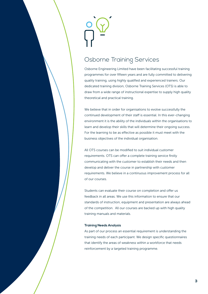

# Osborne Training Services

Osborne Engineering Limited have been facilitating successful training programmes for over fifteen years and are fully committed to delivering quality training, using highly qualified and experienced trainers. Our dedicated training division, Osborne Training Services (OTS) is able to draw from a wide range of instructional expertise to supply high quality theoretical and practical training.

We believe that in order for organisations to evolve successfully the continued development of their staff is essential. In this ever-changing environment it is the ability of the individuals within the organisations to learn and develop their skills that will determine their ongoing success. For the learning to be as effective as possible it must meet with the business objectives of the individual organisation.

All OTS courses can be modified to suit individual customer requirements. OTS can offer a complete training service firstly communicating with the customer to establish their needs and then develop and deliver the course in partnership with customer requirements. We believe in a continuous improvement process for all of our courses.

Students can evaluate their course on completion and offer us feedback in all areas. We use this information to ensure that our standards of instruction, equipment and presentation are always ahead of the competition. All our courses are backed up with high quality training manuals and materials.

#### **Training Needs Analysis**

As part of our process an essential requirement is understanding the training needs of each participant. We design specific questionnaires that identify the areas of weakness within a workforce that needs reinforcement by a targeted training programme.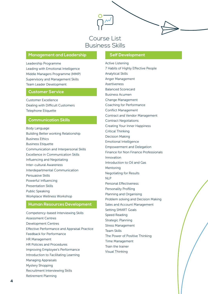## Course List Business Skills

#### **Management and Leadership**

Leadership Programme Leading with Emotional Intelligence Middle Managers Programme (MMP) Supervisory and Management Skills Team Leader Development

#### **Customer Service**

Customer Excellence Dealing with Difficult Customers Telephone Etiquette

#### **Communication Skills**

Body Language Building Better working Relationship Business Ethics Business Etiquette Communication and Interpersonal Skills Excellence in Communication Skills Influencing and Negotiating Inter-cultural Awareness Interdepartmental Communication Persuasive Skills PowerfuI Influencing Presentation Skills Public Speaking Workplace Wellness Workshop

#### **Human Resources Development**

Competency-based Interviewing Skills Assessment Centres Development Centres Effective Performance and Appraisal Practice Feedback for Performance HR Management HR Policies and Procedures Improving Employee's Performance Introduction to Facilitating Learning Managing Appraisals Mystery Shopping Recruitment Interviewing Skills Retirement Planning

#### **Self Development**

Active Listening 7 Habits of Highly Effective People Analytical Skills Anger Management Asertiveness Balanced Scorecard Business Acumen Change Management Coaching for Performance Conflict Management Contract and Vendor Management Contract Negotiations Creating Your Inner Happiness Critical Thinking Decision Making Emotional Intelligence Empowerment and Delegation Finance for Non Finance Professionals Innovation Introduction to Oil and Gas Mentoring Negotiating for Results NLP Personal Effectiveness Personality Profiling Planning and Organising Problem solving and Decision Making Sales and Account Management Setting SMART Goals Speed Reading Strategic Planning Stress Management Team Skills The Power of Positive Thinking Time Management Train the trainer Visual Thinking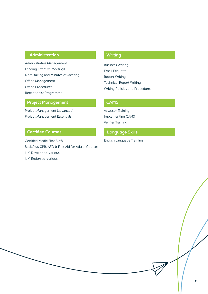#### **Administration**

Administrative Management Leading Effective Meetings Note-taking and Minutes of Meeting Office Management Office Procedures Receptionist Programme

#### **Writing**

Business Writing Email Etiquette Report Writing Technical Report Writing Writing Policies and Procedures

Project Management (advanced) Project Management Essentials

**Project Management**

#### **Certified Courses**

Certified Medic First Aid® BasicPlus CPR, AED & First Aid for Adults Courses ILM Developed-various ILM Endorsed-various

#### **CAMS**

Assessor Training Implementing CAMS Verifier Training

#### **Language Skills**

English Language Training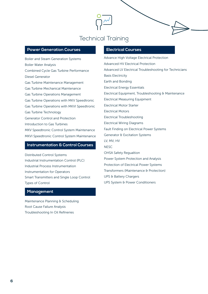

#### **Power Generation Courses Electrical Courses**

Boiler and Steam Generation Systems Boiler Water Analysis Combined Cycle Gas Turbine Performance Diesel Generator Gas Turbine Maintenance Management Gas Turbine Mechanical Maintenance Gas Turbine Operations Management Gas Turbine Operations with MKV Speedtronic Gas Turbine Operations with MKVI Speedtronic Gas Turbine Technology Generator Control and Protection Introduction to Gas Turbines MKV Speedtronic Control System Maintenance MKVI Speedtronic Control System Maintenance

#### **Instrumentation & Control Courses**

Distributed Control Systems Industrial Instrumentation Control (PLC) Industrial Process Instrumentation Instrumentation for Operators Smart Transmitters and Single Loop Control Types of Control

#### **Management**

Maintenance Planning & Scheduling Root Cause Failure Analysis Troubleshooting In Oil Refineries

Advance High Voltage Electrical Protection Advanced HV Electrical Protection Advanced LV Electrical Troubleshooting for Technicians Basis Electricity Earth and Bonding Electrical Energy Essentials Electrical Equipment, Troubleshooting & Maintenance Electrical Measuring Equipment Electrical Motor Starter Electrical Motors Electrical Troubleshooting Electrical Wiring Diagrams Fault Finding on Electrical Power Systems Generator & Excitation Systems LV, MV, HV **NESC** OHSA Safety Regualtion Power System Protection and Analysis Protection of Electrical Power Systems Transformers (Maintenance & Protection) UPS & Battery Chargers UPS System & Power Conditioners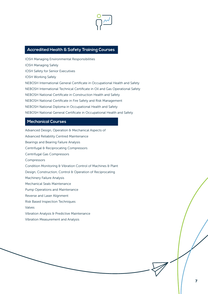

#### **Accredited Health & Safety Training Courses**

IOSH Managing Environmental Responsibilities IOSH Managing Safely IOSH Safety for Senior Executives IOSH Working Safely NEBOSH International General Certificate in Occupational Health and Safety NEBOSH International Technical Certificate in Oil and Gas Operational Safety NEBOSH National Certificate in Construction Health and Safety NEBOSH National Certificate in Fire Safety and Risk Management NEBOSH National Diploma in Occupational Health and Safety NEBOSH National General Certificate in Occupational Health and Safety

#### **Mechanical Courses**

Advanced Design, Operation & Mechanical Aspects of

Advanced Reliability Centred Maintenance

Bearings and Bearing Failure Analysis

Centrifugal & Reciprocating Compressors

Centrifugal Gas Compressors

**Compressors** 

Condition Monitoring & Vibration Control of Machines & Plant

Design, Construction, Control & Operation of Reciprocating

Machinery Failure Analysis

Mechanical Seals Maintenance

Pump Operations and Maintenance

Reverse and Laser Alignment

Risk Based Inspection Techniques

Valves

Vibration Analysis & Predictive Maintenance

Vibration Measurement and Analysis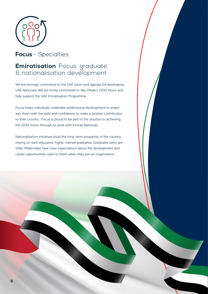

# **Focus** - Specialties

# **Emiratisation** Focus, graduate & nationalisation development

We are strongly committed to the UAE vision and agenda for developing UAE Nationals. We are firmly committed to Abu Dhabi's 2030 Vision and fully support the UAE Emiratisation Programme.

Focus helps individuals undertake professional development to empower them with the skills and confidence to make a positive contribution to their country. Focus is proud to be part of the solution to achieving the 2030 Vision through its work with Emirati Nationals.

Nationalisation initiatives build the long-term prosperity of the country relying on well-educated, highly-trained graduates. Graduates (who are often Millennials) have clear expectations about the development and career opportunities open to them when they join an organisation.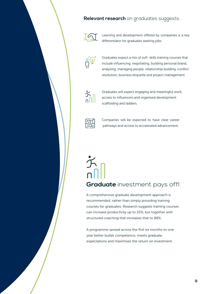#### **Relevant research** on graduates suggests:



Learning and development offered by companies is a key differentiator for graduates seeking jobs



Graduates expect a mix of soft skills training courses that include influencing, negotiating, building personal brand, analysing, managing people, relationship building, conflict resolution, business etiquette and project management



Graduates will expect engaging and meaningful work, access to influencers and organised development scaffolding and ladders.



Companies will be expected to have clear career pathways and access to accelerated advancement.

# **Graduate** investment pays off!

A comprehensive graduate development approach is recommended, rather than simply providing training courses for graduates. Research suggests training courses can increase productivity up to 22%, but together with structured coaching that increases that to 88%.

A programme spread across the first six months to one year better builds competence, meets graduate expectations and maximises the return on investment.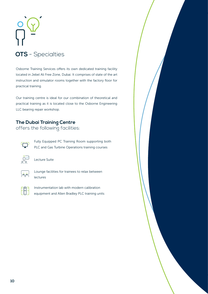# **OTS** - Specialties

Osborne Training Services offers its own dedicated training facility located in Jebel Ali Free Zone, Dubai. It comprises of state of the art instruction and simulator rooms together with the factory floor for practical training.

Our training centre is ideal for our combination of theoretical and practical training as it is located close to the Osborne Engineering LLC bearing repair workshop.

### **The Dubai Training Centre**

offers the following facilities:



Fully Equipped PC Training Room supporting both PLC and Gas Turbine Operations training courses



Lecture Suite



Lounge facilities for trainees to relax between lectures



Instrumentation lab with modern calibration equipment and Allen Bradley PLC training units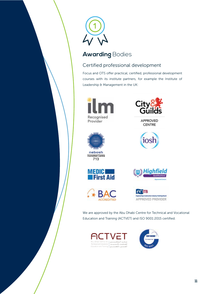

# **Awarding** Bodies

# Certified professional development

Focus and OTS offer practical, certified, professional development courses with its institute partners, for example the Institute of Leadership & Management in the UK:



We are approved by the Abu Dhabi Centre for Technical and Vocational Education and Training (ACTVET) and ISO 9001:2015 certified.



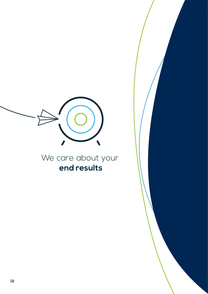

We care about your **end results**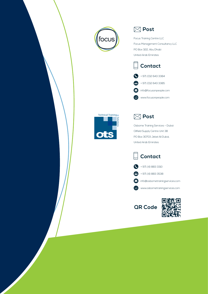

Technical Training

Oil

Solutions

loc<br>Sol

# **Post**

Focus Training Centre LLC Focus Management Consultancy LLC PO Box 322, Abu Dhabi United Arab Emirates







Osborne Training Services – Dubai Oilfield Supply Centre Unit 38 PO Box 30703 Jebel Ali Dubai, United Arab Emirates

| <b>Contact</b>               |
|------------------------------|
| $\bigcup$ + 971 (4) 883 3310 |
| $\bullet$ + 971 (4) 883 3538 |

info@osbornetrainingservices.com Ø

www.osbornetrainingservices.com